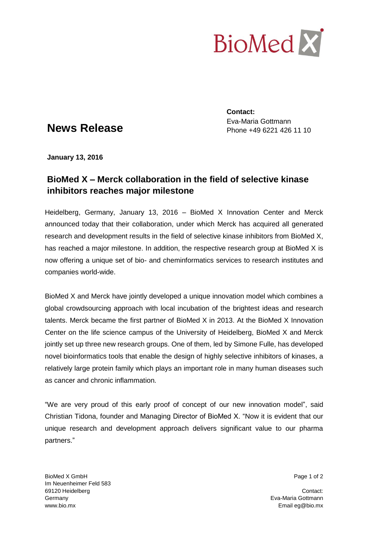

## **News Release**

**Contact:** Eva-Maria Gottmann Phone +49 6221 426 11 10

**January 13, 2016**

## **BioMed X – Merck collaboration in the field of selective kinase inhibitors reaches major milestone**

Heidelberg, Germany, January 13, 2016 – BioMed X Innovation Center and Merck announced today that their collaboration, under which Merck has acquired all generated research and development results in the field of selective kinase inhibitors from BioMed X, has reached a major milestone. In addition, the respective research group at BioMed X is now offering a unique set of bio- and cheminformatics services to research institutes and companies world-wide.

BioMed X and Merck have jointly developed a unique innovation model which combines a global crowdsourcing approach with local incubation of the brightest ideas and research talents. Merck became the first partner of BioMed X in 2013. At the BioMed X Innovation Center on the life science campus of the University of Heidelberg, BioMed X and Merck jointly set up three new research groups. One of them, led by Simone Fulle, has developed novel bioinformatics tools that enable the design of highly selective inhibitors of kinases, a relatively large protein family which plays an important role in many human diseases such as cancer and chronic inflammation.

"We are very proud of this early proof of concept of our new innovation model", said Christian Tidona, founder and Managing Director of BioMed X. "Now it is evident that our unique research and development approach delivers significant value to our pharma partners."

BioMed X GmbH Page 1 of 2 Im Neuenheimer Feld 583 69120 Heidelberg Contact: Contact: Contact: Contact: Contact: Contact: Contact: Contact: Contact: Contact: Contact: Contact: Contact: Contact: Contact: Contact: Contact: Contact: Contact: Contact: Contact: Contact: Contact Germany Eva-Maria Gottmann www.bio.mx **Email eg@bio.mx** Email eg@bio.mx